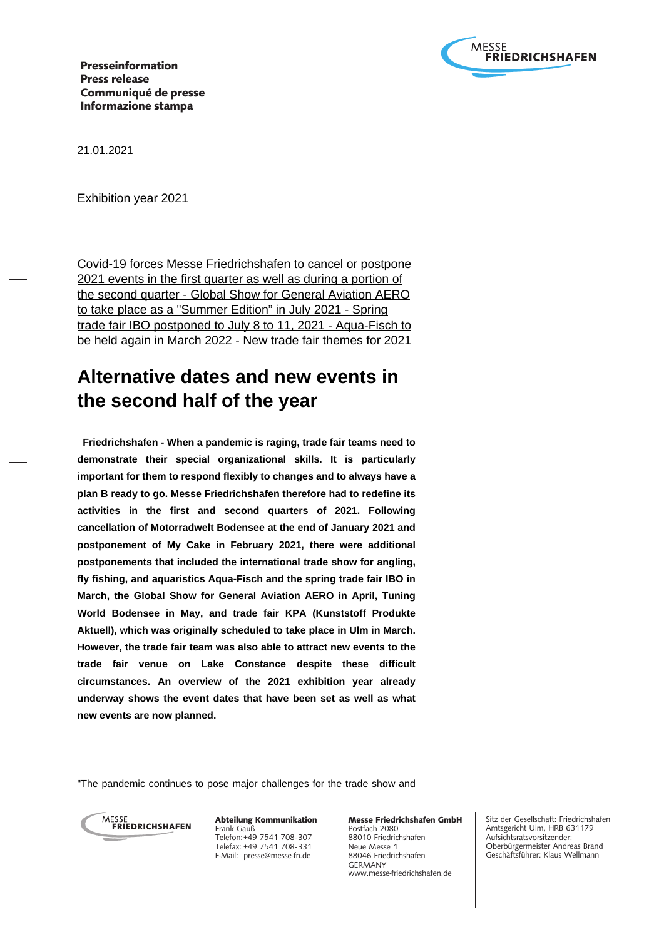

21.01.2021

Exhibition year 2021

Covid-19 forces Messe Friedrichshafen to cancel or postpone 2021 events in the first quarter as well as during a portion of the second quarter - Global Show for General Aviation AERO to take place as a "Summer Edition" in July 2021 - Spring trade fair IBO postponed to July 8 to 11, 2021 - Aqua-Fisch to be held again in March 2022 - New trade fair themes for 2021

# **Alternative dates and new events in the second half of the year**

 **Friedrichshafen - When a pandemic is raging, trade fair teams need to demonstrate their special organizational skills. It is particularly important for them to respond flexibly to changes and to always have a plan B ready to go. Messe Friedrichshafen therefore had to redefine its activities in the first and second quarters of 2021. Following cancellation of Motorradwelt Bodensee at the end of January 2021 and postponement of My Cake in February 2021, there were additional postponements that included the international trade show for angling, fly fishing, and aquaristics Aqua-Fisch and the spring trade fair IBO in March, the Global Show for General Aviation AERO in April, Tuning World Bodensee in May, and trade fair KPA (Kunststoff Produkte Aktuell), which was originally scheduled to take place in Ulm in March. However, the trade fair team was also able to attract new events to the trade fair venue on Lake Constance despite these difficult circumstances. An overview of the 2021 exhibition year already underway shows the event dates that have been set as well as what new events are now planned.**

"The pandemic continues to pose major challenges for the trade show and



Abteilung Kommunikation Frank Gauß Telefon: +49 7541 708-307 Telefax: +49 7541 708-331 E-Mail: presse@messe-fn.de

Messe Friedrichshafen GmbH Postfach 2080 88010 Friedrichshafen Neue Messe 1 88046 Friedrichshafen GERMANY www.messe-friedrichshafen.de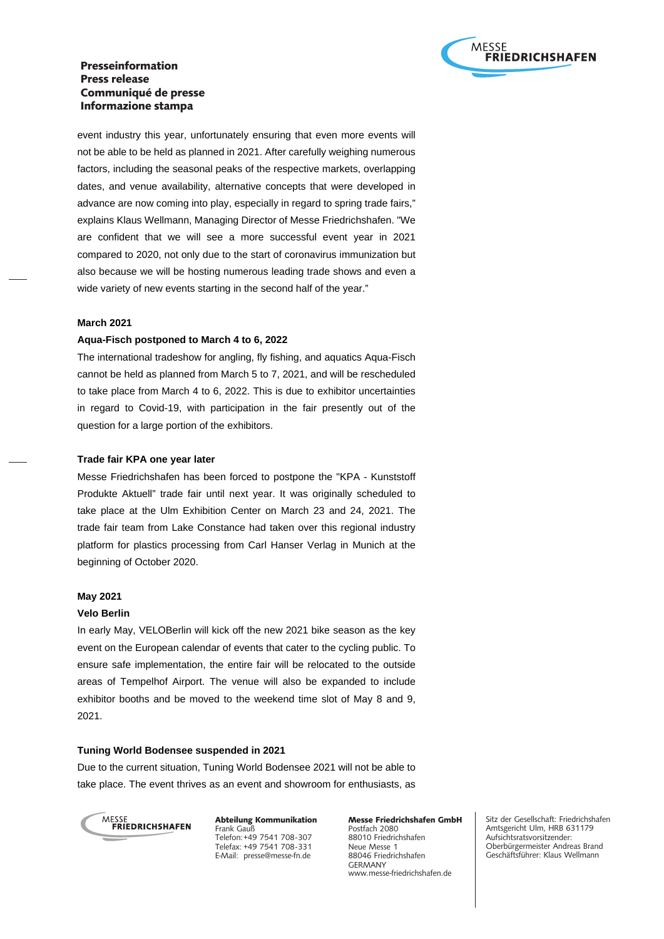

event industry this year, unfortunately ensuring that even more events will not be able to be held as planned in 2021. After carefully weighing numerous factors, including the seasonal peaks of the respective markets, overlapping dates, and venue availability, alternative concepts that were developed in advance are now coming into play, especially in regard to spring trade fairs," explains Klaus Wellmann, Managing Director of Messe Friedrichshafen. "We are confident that we will see a more successful event year in 2021 compared to 2020, not only due to the start of coronavirus immunization but also because we will be hosting numerous leading trade shows and even a wide variety of new events starting in the second half of the year."

### **March 2021**

### **Aqua-Fisch postponed to March 4 to 6, 2022**

The international tradeshow for angling, fly fishing, and aquatics Aqua-Fisch cannot be held as planned from March 5 to 7, 2021, and will be rescheduled to take place from March 4 to 6, 2022. This is due to exhibitor uncertainties in regard to Covid-19, with participation in the fair presently out of the question for a large portion of the exhibitors.

### **Trade fair KPA one year later**

Messe Friedrichshafen has been forced to postpone the "KPA - Kunststoff Produkte Aktuell" trade fair until next year. It was originally scheduled to take place at the Ulm Exhibition Center on March 23 and 24, 2021. The trade fair team from Lake Constance had taken over this regional industry platform for plastics processing from Carl Hanser Verlag in Munich at the beginning of October 2020.

### **May 2021**

#### **Velo Berlin**

In early May, VELOBerlin will kick off the new 2021 bike season as the key event on the European calendar of events that cater to the cycling public. To ensure safe implementation, the entire fair will be relocated to the outside areas of Tempelhof Airport. The venue will also be expanded to include exhibitor booths and be moved to the weekend time slot of May 8 and 9, 2021.

### **Tuning World Bodensee suspended in 2021**

Due to the current situation, Tuning World Bodensee 2021 will not be able to take place. The event thrives as an event and showroom for enthusiasts, as



Abteilung Kommunikation Frank Gauß Telefon: +49 7541 708-307 Telefax: +49 7541 708-331 E-Mail: presse@messe-fn.de

Messe Friedrichshafen GmbH Postfach 2080 88010 Friedrichshafen Neue Messe 1 88046 Friedrichshafen GERMANY www.messe-friedrichshafen.de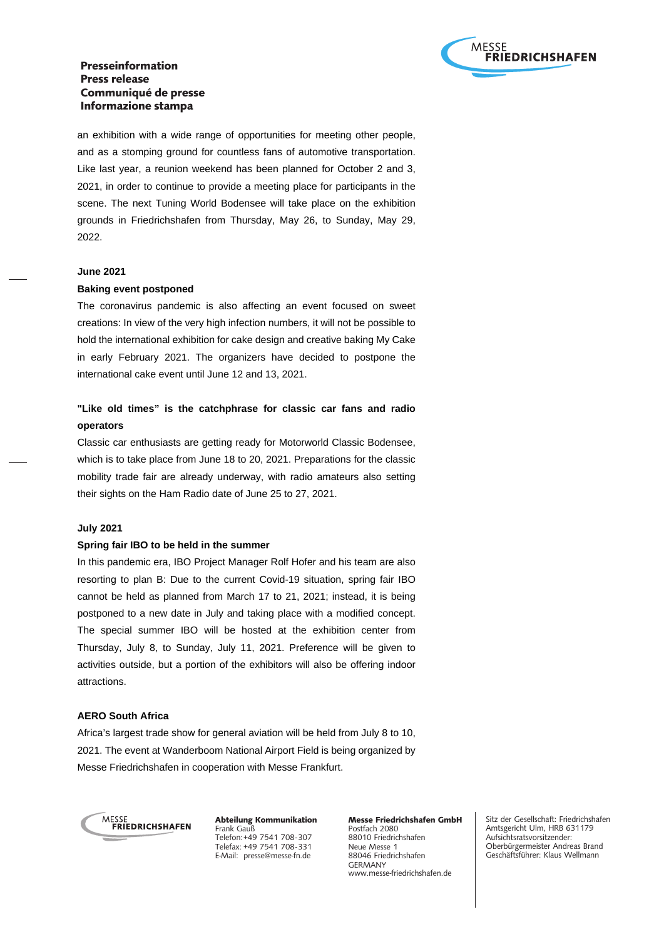

an exhibition with a wide range of opportunities for meeting other people, and as a stomping ground for countless fans of automotive transportation. Like last year, a reunion weekend has been planned for October 2 and 3, 2021, in order to continue to provide a meeting place for participants in the scene. The next Tuning World Bodensee will take place on the exhibition grounds in Friedrichshafen from Thursday, May 26, to Sunday, May 29, 2022.

#### **June 2021**

#### **Baking event postponed**

The coronavirus pandemic is also affecting an event focused on sweet creations: In view of the very high infection numbers, it will not be possible to hold the international exhibition for cake design and creative baking My Cake in early February 2021. The organizers have decided to postpone the international cake event until June 12 and 13, 2021.

# **"Like old times" is the catchphrase for classic car fans and radio operators**

Classic car enthusiasts are getting ready for Motorworld Classic Bodensee, which is to take place from June 18 to 20, 2021. Preparations for the classic mobility trade fair are already underway, with radio amateurs also setting their sights on the Ham Radio date of June 25 to 27, 2021.

### **July 2021**

### **Spring fair IBO to be held in the summer**

In this pandemic era, IBO Project Manager Rolf Hofer and his team are also resorting to plan B: Due to the current Covid-19 situation, spring fair IBO cannot be held as planned from March 17 to 21, 2021; instead, it is being postponed to a new date in July and taking place with a modified concept. The special summer IBO will be hosted at the exhibition center from Thursday, July 8, to Sunday, July 11, 2021. Preference will be given to activities outside, but a portion of the exhibitors will also be offering indoor attractions.

### **AERO South Africa**

Africa's largest trade show for general aviation will be held from July 8 to 10, 2021. The event at Wanderboom National Airport Field is being organized by Messe Friedrichshafen in cooperation with Messe Frankfurt.



Abteilung Kommunikation Frank Gauß Telefon: +49 7541 708-307 Telefax: +49 7541 708-331 E-Mail: presse@messe-fn.de

Messe Friedrichshafen GmbH Postfach 2080 88010 Friedrichshafen Neue Messe 1 88046 Friedrichshafen GERMANY www.messe-friedrichshafen.de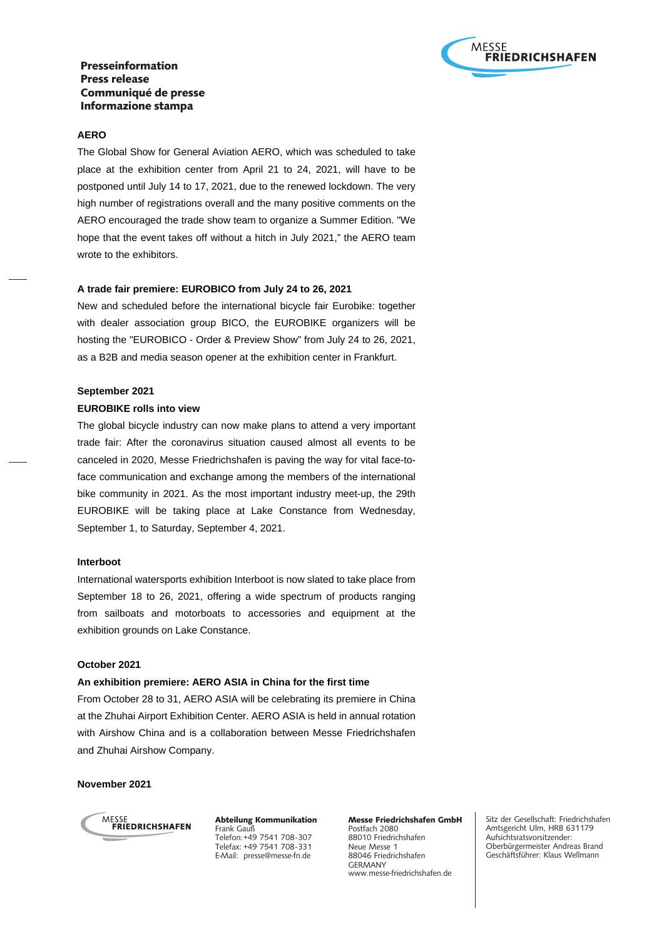

### **AERO**

The Global Show for General Aviation AERO, which was scheduled to take place at the exhibition center from April 21 to 24, 2021, will have to be postponed until July 14 to 17, 2021, due to the renewed lockdown. The very high number of registrations overall and the many positive comments on the AERO encouraged the trade show team to organize a Summer Edition. "We hope that the event takes off without a hitch in July 2021," the AERO team wrote to the exhibitors.

### **A trade fair premiere: EUROBICO from July 24 to 26, 2021**

New and scheduled before the international bicycle fair Eurobike: together with dealer association group BICO, the EUROBIKE organizers will be hosting the "EUROBICO - Order & Preview Show" from July 24 to 26, 2021, as a B2B and media season opener at the exhibition center in Frankfurt.

### **September 2021**

### **EUROBIKE rolls into view**

The global bicycle industry can now make plans to attend a very important trade fair: After the coronavirus situation caused almost all events to be canceled in 2020, Messe Friedrichshafen is paving the way for vital face-toface communication and exchange among the members of the international bike community in 2021. As the most important industry meet-up, the 29th EUROBIKE will be taking place at Lake Constance from Wednesday, September 1, to Saturday, September 4, 2021.

#### **Interboot**

International watersports exhibition Interboot is now slated to take place from September 18 to 26, 2021, offering a wide spectrum of products ranging from sailboats and motorboats to accessories and equipment at the exhibition grounds on Lake Constance.

# **October 2021**

### **An exhibition premiere: AERO ASIA in China for the first time**

From October 28 to 31, AERO ASIA will be celebrating its premiere in China at the Zhuhai Airport Exhibition Center. AERO ASIA is held in annual rotation with Airshow China and is a collaboration between Messe Friedrichshafen and Zhuhai Airshow Company.

### **November 2021**



Abteilung Kommunikation Frank Gauß Telefon: +49 7541 708-307 Telefax: +49 7541 708-331 E-Mail: presse@messe-fn.de

Messe Friedrichshafen GmbH Postfach 2080 88010 Friedrichshafen Neue Messe 1 88046 Friedrichshafen GERMANY www.messe-friedrichshafen.de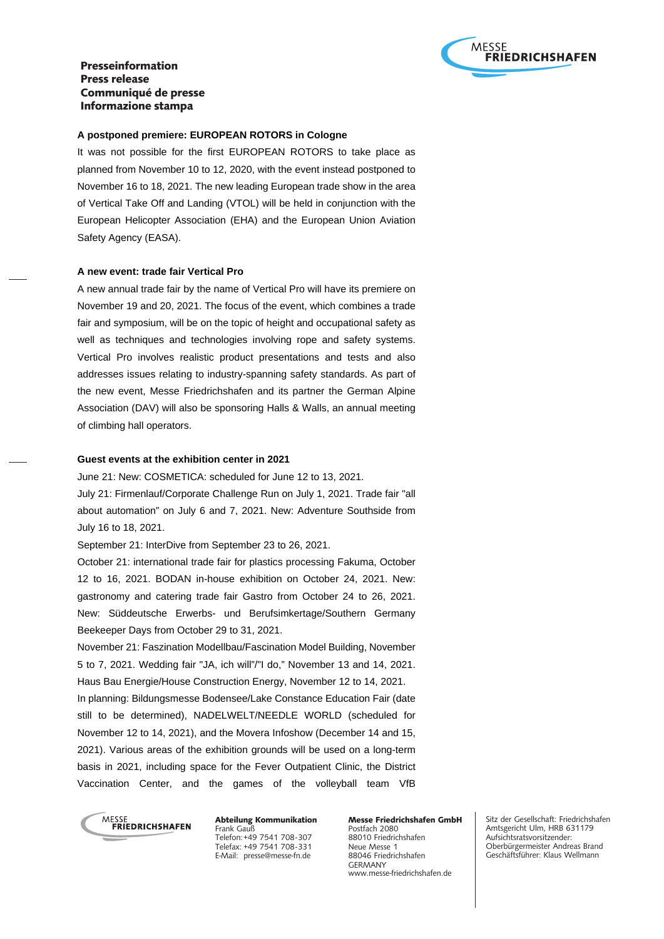

### **A postponed premiere: EUROPEAN ROTORS in Cologne**

It was not possible for the first EUROPEAN ROTORS to take place as planned from November 10 to 12, 2020, with the event instead postponed to November 16 to 18, 2021. The new leading European trade show in the area of Vertical Take Off and Landing (VTOL) will be held in conjunction with the European Helicopter Association (EHA) and the European Union Aviation Safety Agency (EASA).

#### **A new event: trade fair Vertical Pro**

A new annual trade fair by the name of Vertical Pro will have its premiere on November 19 and 20, 2021. The focus of the event, which combines a trade fair and symposium, will be on the topic of height and occupational safety as well as techniques and technologies involving rope and safety systems. Vertical Pro involves realistic product presentations and tests and also addresses issues relating to industry-spanning safety standards. As part of the new event, Messe Friedrichshafen and its partner the German Alpine Association (DAV) will also be sponsoring Halls & Walls, an annual meeting of climbing hall operators.

### **Guest events at the exhibition center in 2021**

June 21: New: COSMETICA: scheduled for June 12 to 13, 2021.

July 21: Firmenlauf/Corporate Challenge Run on July 1, 2021. Trade fair "all about automation" on July 6 and 7, 2021. New: Adventure Southside from July 16 to 18, 2021.

September 21: InterDive from September 23 to 26, 2021.

October 21: international trade fair for plastics processing Fakuma, October 12 to 16, 2021. BODAN in-house exhibition on October 24, 2021. New: gastronomy and catering trade fair Gastro from October 24 to 26, 2021. New: Süddeutsche Erwerbs- und Berufsimkertage/Southern Germany Beekeeper Days from October 29 to 31, 2021.

November 21: Faszination Modellbau/Fascination Model Building, November 5 to 7, 2021. Wedding fair "JA, ich will"/"I do," November 13 and 14, 2021. Haus Bau Energie/House Construction Energy, November 12 to 14, 2021. In planning: Bildungsmesse Bodensee/Lake Constance Education Fair (date still to be determined), NADELWELT/NEEDLE WORLD (scheduled for November 12 to 14, 2021), and the Movera Infoshow (December 14 and 15, 2021). Various areas of the exhibition grounds will be used on a long-term basis in 2021, including space for the Fever Outpatient Clinic, the District Vaccination Center, and the games of the volleyball team VfB



Abteilung Kommunikation Frank Gauß Telefon: +49 7541 708-307 Telefax: +49 7541 708-331 E-Mail: presse@messe-fn.de

Messe Friedrichshafen GmbH Postfach 2080 88010 Friedrichshafen Neue Messe 1 88046 Friedrichshafen GERMANY www.messe-friedrichshafen.de